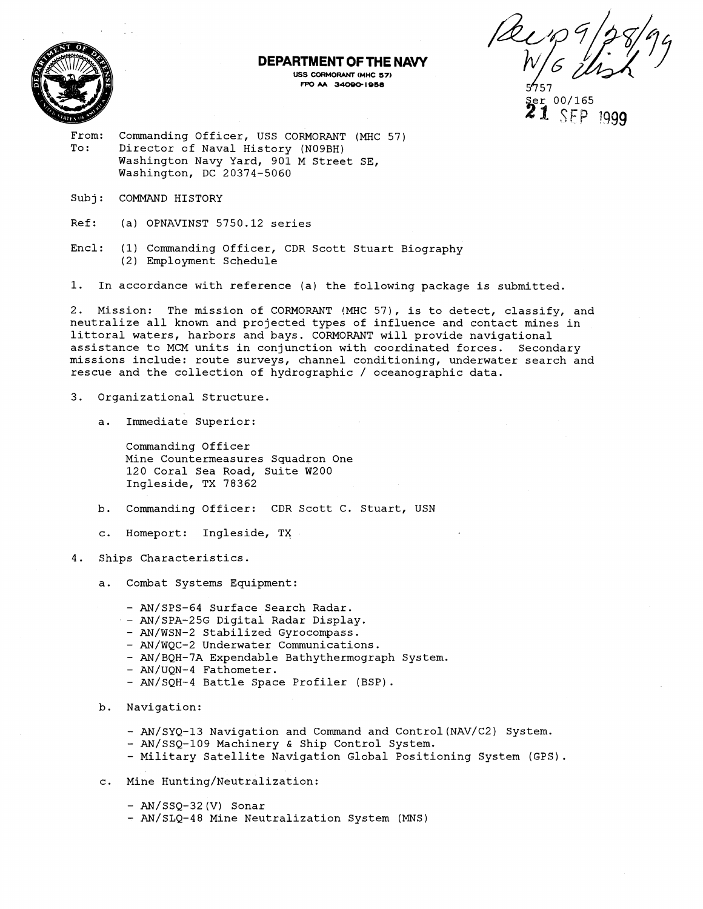

#### **DEPARTMENT OF THE NAVY USS CORMORANT IMHC 57)**  FPO AA 34090-1958

 $\text{er} 00/165$  $\textbf{21}$  SEP 1999

From: Commanding Officer, USS CORMORANT (MHC 57) To: Director of Naval History (N09BH) Washington Navy Yard, 901 M Street SE, Washington, DC 20374-5060

- Subj: COMMAND HISTORY
- Ref: (a) OPNAVINST 5750.12 series
- Encl: (1) Commanding Officer, CDR Scott Stuart Biography (2) Employment Schedule

1. In accordance with reference (a) the following package is submitted.

2. Mission: The mission of CORMORANT (MHC 57), is to detect, classify, and neutralize all known and projected types of influence and contact mines in littoral waters, harbors and bays. CORMORANT will provide navigational assistance to MCM units in conjunction with coordinated forces. Secondary missions include: route surveys, channel conditioning, underwater search and rescue and the collection of hydrographic / oceanographic data.

- 3. Organizational Structure.
	- a. Immediate Superior:

Commanding Officer Mine Countermeasures Squadron One 120 Coral Sea Road, Suite W200 Ingleside, TX 78362

- b. Commanding Officer: CDR Scott C. Stuart, USN
- c. Homeport: Ingleside, TX
- 4. Ships Characteristics.

a. Combat Systems Equipment:

- AN/SPS-64 Surface Search Radar.
- AN/SPA-25G Digital Radar Display.
- AN/WSN-2 Stabilized Gyrocompass.
- AN/WQC-2 Underwater Communications.
- AN/BQH-7A Expendable Bathythermograph System.
- AN/UQN-4 Fathometer.
- AN/SQH-4 Battle Space Profiler (BSP).
- <sup>b</sup>. Navigation:
	- AN/SYQ-13 Navigation and Command and Control (NAV/C2) System.
	- AN/SSQ-109 Machinery & Ship Control System.
	- Military Satellite Navigation Global Positioning System (GPS).
- c. Mine Hunting/Neutralization:
	- AN/SSQ-32 (V) Sonar
	- AN/SLQ-48 Mine Neutralization System (MNS)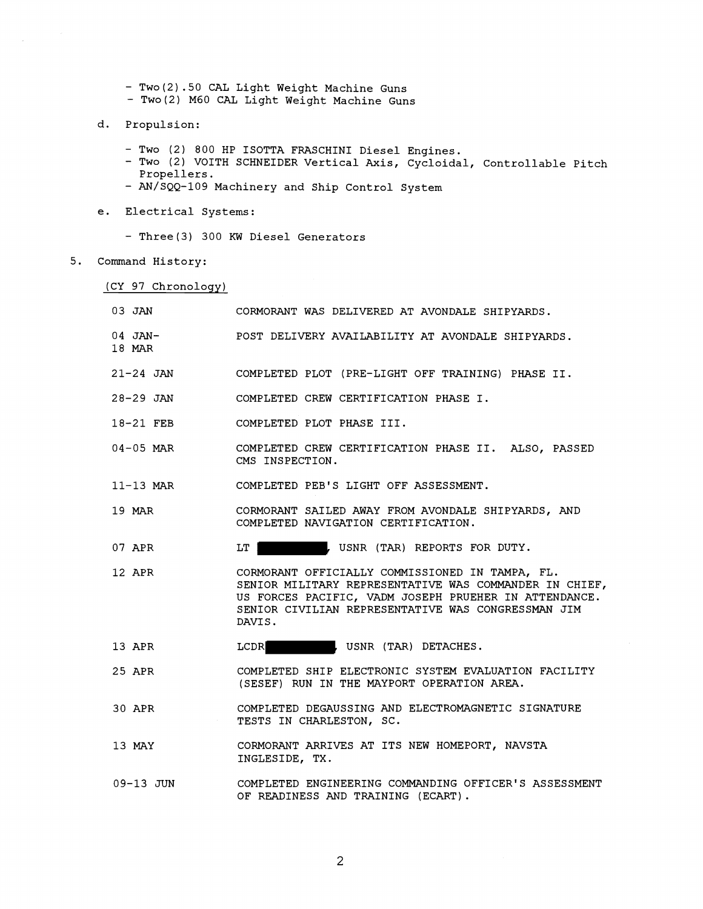- Two(2).50 CAL Light Weight Machine Guns
- Two(2) M60 CAL Light Weight Machine Guns
- d. Propulsion:

 $\bar{\omega}$ 

- 
- Two (2) 800 HP ISOTTA FRASCHINI Diesel Engines.<br>- Two (2) VOITH SCHNEIDER Vertical Axis, Cycloidal, Controllable Pitch Propellers.
- AN/SQQ-109 Machinery and Ship Control System
- e. Electrical Systems:
	- Three(3) 300 **KW** Diesel Generators
- Command History:

(CY 97 Chronology)

| 03 JAN                 | CORMORANT WAS DELIVERED AT AVONDALE SHIPYARDS.                                                                                                                                                                                     |
|------------------------|------------------------------------------------------------------------------------------------------------------------------------------------------------------------------------------------------------------------------------|
| $04$ JAN $-$<br>18 MAR | POST DELIVERY AVAILABILITY AT AVONDALE SHIPYARDS.                                                                                                                                                                                  |
|                        | 21-24 JAN COMPLETED PLOT (PRE-LIGHT OFF TRAINING) PHASE II.                                                                                                                                                                        |
| 28-29 JAN              | COMPLETED CREW CERTIFICATION PHASE I.                                                                                                                                                                                              |
| 18-21 FEB              | COMPLETED PLOT PHASE III.                                                                                                                                                                                                          |
| $04-05$ MAR            | COMPLETED CREW CERTIFICATION PHASE II. ALSO, PASSED<br>CMS INSPECTION.                                                                                                                                                             |
| 11-13 MAR              | COMPLETED PEB'S LIGHT OFF ASSESSMENT.                                                                                                                                                                                              |
| 19 MAR                 | CORMORANT SAILED AWAY FROM AVONDALE SHIPYARDS, AND<br>COMPLETED NAVIGATION CERTIFICATION.                                                                                                                                          |
| 07 APR                 | LT 1<br>, USNR (TAR) REPORTS FOR DUTY.                                                                                                                                                                                             |
| 12 APR                 | CORMORANT OFFICIALLY COMMISSIONED IN TAMPA, FL.<br>SENIOR MILITARY REPRESENTATIVE WAS COMMANDER IN CHIEF,<br>US FORCES PACIFIC, VADM JOSEPH PRUEHER IN ATTENDANCE.<br>SENIOR CIVILIAN REPRESENTATIVE WAS CONGRESSMAN JIM<br>DAVIS. |
| 13 APR                 | LCDR<br>. USNR (TAR) DETACHES.                                                                                                                                                                                                     |
| 25 APR                 | COMPLETED SHIP ELECTRONIC SYSTEM EVALUATION FACILITY<br>(SESEF) RUN IN THE MAYPORT OPERATION AREA.                                                                                                                                 |
| 30 APR                 | COMPLETED DEGAUSSING AND ELECTROMAGNETIC SIGNATURE<br>TESTS IN CHARLESTON, SC.                                                                                                                                                     |
| 13 MAY                 | CORMORANT ARRIVES AT ITS NEW HOMEPORT, NAVSTA<br>INGLESIDE, TX.                                                                                                                                                                    |
| $09-13$ JUN            | COMPLETED ENGINEERING COMMANDING OFFICER'S ASSESSMENT<br>OF READINESS AND TRAINING (ECART).                                                                                                                                        |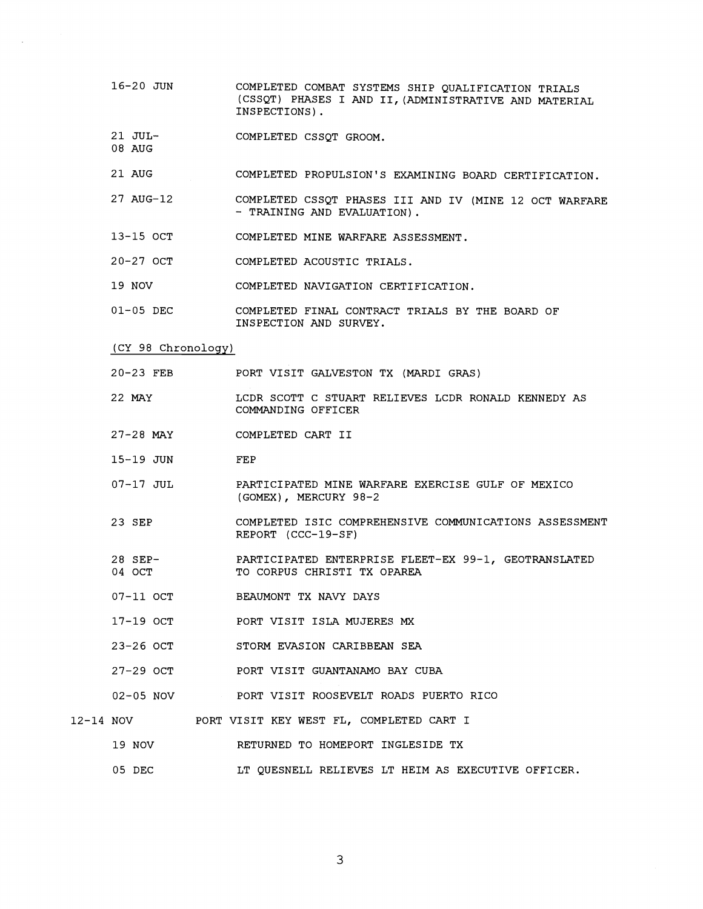- 16-20 JUN COMPLETED COMBAT SYSTEMS SHIP QUALIFICATION TRIALS (CSSQT) PHASES I AND 11, (ADMINISTRATIVE AND MATERIAL INSPECTIONS).
- 21 JUL-COMPLETED CSSQT GROOM.
- 21 AUG COMPLETED PROPULSION'S EXAMINING BOARD CERTIFICATION.
- 27 AUG-12 COMPLETED CSSQT PHASES I11 AND IV (MINE 12 OCT WARFARE - TRAINING AND EVALUATION).
- 13-15 OCT COMPLETED MINE WARFARE ASSESSMENT.
- 20-27 OCT COMPLETED ACOUSTIC TRIALS.
- 19 NOV COMPLETED NAVIGATION CERTIFICATION.
- 01-05 DEC COMPLETED FINAL CONTRACT TRIALS BY THE BOARD OF INSPECTION AND SURVEY.
- (CY 98 Chronology)

08 AUG

- 20-23 FEB PORT VISIT GALVESTON TX (MARDI GRAS)
- 22 MAY LCDR SCOTT C STUART RELIEVES LCDR RONALD KENNEDY AS COMMANDING OFFICER
- 27-28 MAY COMPLETED CART I1
- 15-19 JUN FEP
- 07-17 JUL PARTICIPATED MINE WARFARE EXERCISE GULF OF MEXICO (GOMEX), MERCURY 98-2
- 23 SEP COMPLETED ISIC COMPREHENSIVE COMMUNICATIONS ASSESSMENT REPORT (CCC-19-SF)
- 28 SEP-04 OCT PARTICIPATED ENTERPRISE FLEET-EX 99-1, GEOTRANSLATED TO CORPUS CHRISTI TX OPAREA
- 07-11 OCT BEAUMONT TX NAVY DAYS
- 17-19 OCT PORT VISIT ISLA MUJERES **MX**
- 23-26 OCT STORM EVASION CARIBBEAN SEA
- 27-29 OCT PORT VISIT GUANTANAMO BAY CUBA
- 02-05 NOV PORT VISIT ROOSEVELT ROADS PUERTO RICO
- 12-14 NOV PORT VISIT KEY WEST FL, COMPLETED CART I
	- 19 NOV RETURNED TO HOMEPORT INGLESIDE TX
		- 05 DEC LT QUESNELL RELIEVES LT HEIM AS EXECUTIVE OFFICER.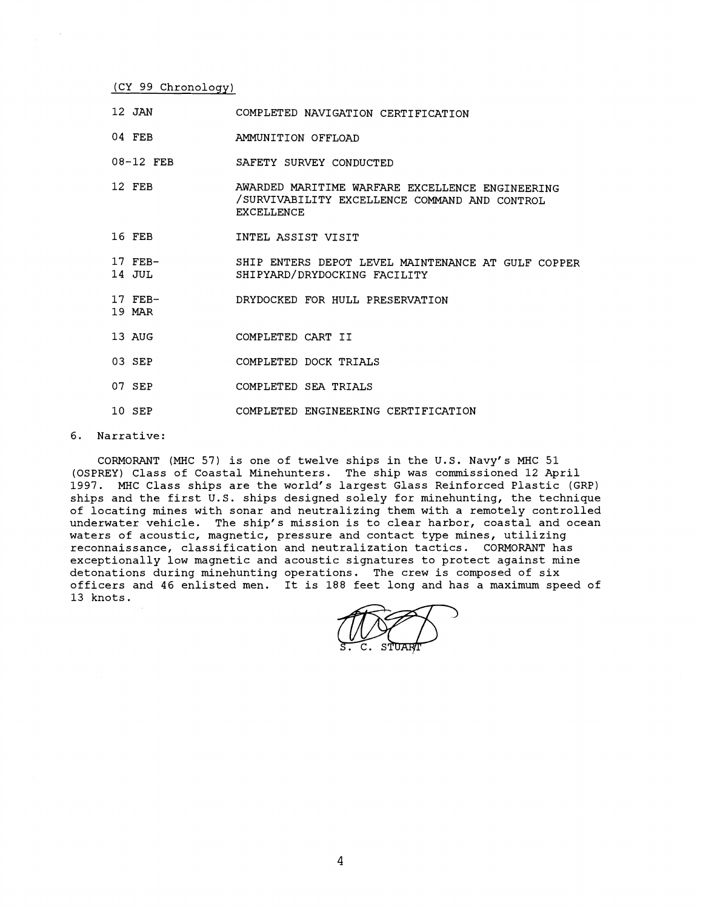(CY **99** Chronology)

- **12** JAN COMPLETED NAVIGATION CERTIFICATION
- 04 FEB AMMUNITION OFFLOAD
- **08-12** FEB SAFETY SURVEY CONDUCTED
- **12** FEB AWARDED MARITIME WARFARE EXCELLENCE ENGINEERING /SURVIVABILITY EXCELLENCE COMMAND AND CONTROL EXCELLENCE
- **16** FEB INTEL ASSIST VISIT
- **17** FEB-**14** JUL SHIP ENTERS DEPOT LEVEL MAINTENANCE AT GULF COPPER SHIPYARD/DRYDOCKING FACILITY
- **17** FEB-DRYDOCKED FOR HULL PRESERVATION
- **13** AUG COMPLETED CART I1
- 03 SEP **COMPLETED DOCK TRIALS**
- **07** SEP COMPLETED SEA TRIALS
- **10** SEP COMPLETED ENGINEERING CERTIFICATION

6. Narrative:

**19 MAR** 

CORMORANT (MHC **57)** is one of twelve ships in the U.S. Navy's MHC **51**  (OSPREY) Class of Coastal Minehunters. The ship was commissioned **12** April **1997.** MHC Class ships are the world's largest Glass Reinforced Plastic (GRP) ships and the first U.S. ships designed solely for minehunting, the technique of locating mines with sonar and neutralizing them with a remotely controlled underwater vehicle. The ship's mission is to clear harbor, coastal and ocean waters of acoustic, magnetic, pressure and contact type mines, utilizing reconnaissance, classification and neutralization tactics. CORMORANT has exceptionally low magnetic and acoustic signatures to protect against mine detonations during minehunting operations. The crew is composed of six officers and **46** enlisted men. It is **188** feet long and has a maximum speed of **13** knots.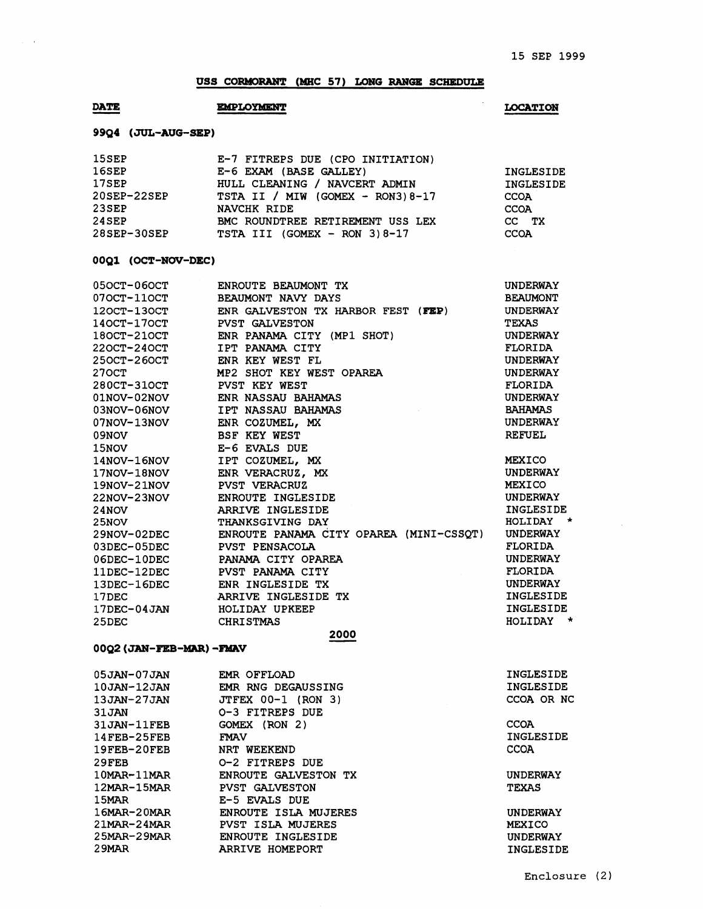#### **USS CORMORANT (MHC 57) LONG RANGE SCHEDULE**

# **DATE** USS CORMORANT

### **LOCATION**

UNDERWAY INGLESIDE HOLIDAY \* UNDERWAY FLORIDA UNDERWAY FLORIDA UNDERWAY INGLESIDE INGLESIDE HOLIDAY \*

| 15SEP       | E-7 FITREPS DUE (CPO INITIATION)  |             |
|-------------|-----------------------------------|-------------|
| 16SEP       | E-6 EXAM (BASE GALLEY)            | INGLESIDE   |
| 17SEP       | HULL CLEANING / NAVCERT ADMIN     | INGLESIDE   |
| 20SEP-22SEP | TSTA II / MIW (GOMEX - RON3) 8-17 | <b>CCOA</b> |
| $23$ SEP    | NAVCHK RIDE                       | <b>CCOA</b> |
| 24SEP       | BMC ROUNDTREE RETIREMENT USS LEX  | CC TX       |
| 28SEP-30SEP | TSTA III (GOMEX - RON $3$ ) 8-17  | <b>CCOA</b> |

#### **OOQl (OCT-NW-DEC)**

| $050CT - 060CT$           | ENROUTE BEAUMONT TX                     | <b>UNDERWAY</b> |  |  |
|---------------------------|-----------------------------------------|-----------------|--|--|
| 070CT-110CT               | BEAUMONT NAVY DAYS                      | <b>BEAUMONT</b> |  |  |
| 120CT-130CT               | ENR GALVESTON TX HARBOR FEST (FEP)      | <b>UNDERWAY</b> |  |  |
| 140CT-170CT               | <b>PVST GALVESTON</b>                   | TEXAS           |  |  |
| $180CT - 210CT$           | ENR PANAMA CITY (MP1 SHOT)              | <b>UNDERWAY</b> |  |  |
| 220CT-240CT               | IPT PANAMA CITY                         | FLORIDA         |  |  |
| 250CT-260CT               | ENR KEY WEST FL                         | <b>UNDERWAY</b> |  |  |
| 270CT                     | MP2 SHOT KEY WEST OPAREA                | <b>UNDERWAY</b> |  |  |
| 280CT-310CT               | <b>PVST KEY WEST</b>                    | FLORIDA         |  |  |
| $01NOV-02NOV$             | ENR NASSAU BAHAMAS                      | <b>UNDERWAY</b> |  |  |
| $03NOV-06NOV$             | <b>IPT NASSAU BAHAMAS</b>               | <b>BAHAMAS</b>  |  |  |
| $07NOV-13NOV$             | ENR COZUMEL, MX                         | <b>UNDERWAY</b> |  |  |
| 09NOV                     | <b>BSF KEY WEST</b>                     | <b>REFUEL</b>   |  |  |
| 15NOV                     | E-6 EVALS DUE                           |                 |  |  |
| 14NOV-16NOV               | IPT COZUMEL, MX                         | <b>MEXICO</b>   |  |  |
| 17NOV-18NOV               | ENR VERACRUZ. MX                        | <b>UNDERWAY</b> |  |  |
| 19NOV-21NOV               | <b>PVST VERACRUZ</b>                    | <b>MEXICO</b>   |  |  |
| $22NOV - 23NOV$           | ENROUTE INGLESIDE                       | <b>UNDERWAY</b> |  |  |
| 24NOV                     | ARRIVE INGLESIDE                        | INGLESID        |  |  |
| 25NOV                     | THANKSGIVING DAY                        | HOLIDAY         |  |  |
| 29NOV-02DEC               | ENROUTE PANAMA CITY OPAREA (MINI-CSSQT) | <b>UNDERWAY</b> |  |  |
| 03DEC-05DEC               | <b>PVST PENSACOLA</b>                   | FLORIDA         |  |  |
| 06DEC-10DEC               | PANAMA CITY OPAREA                      | <b>UNDERWAY</b> |  |  |
| $11$ DEC- $12$ DEC        | PVST PANAMA CITY                        | FLORIDA         |  |  |
| 13DEC-16DEC               | ENR INGLESIDE TX                        | <b>UNDERWAY</b> |  |  |
| 17DEC                     | ARRIVE INGLESIDE TX                     | INGLESID        |  |  |
| $17$ DEC $-04$ JAN        | HOLIDAY UPKEEP                          | INGLESID        |  |  |
| 25DEC                     | <b>CHRISTMAS</b>                        | HOLIDAY         |  |  |
| 2000                      |                                         |                 |  |  |
| 00Q2 (JAN-FEB-MAR) - FMAV |                                         |                 |  |  |

#### **0002 (JAW-FEB-Mm) -Fwkv**

05 JAN-07 JAN 10 JAN-12 JAN 13JAN-27JAN 3 1 JAN 31 JAN-11FEB 14FEB-25FEB 19FEB-20FEB 2 9 FEB 1 OMAR- 11MAR 12MAR- 15MAR 15MAR 1 6MAR- 2 OMAR **2** 1MA.R- 2 **4MAR**  2 5MAR-2 9MAR 2 9MAR EMR OFFLOAD EMR RNG DEGAUSSING JTFEX 00-1 (RON **3)**  0-3 FITREPS DUE GOMEX (RON **2)**  FMAV NRT WEEKEND 0-2 FITREPS DUE ENROUTE GALVESTON TX PVST GALVESTON E-5 EVALS DUE ENROUTE ISLA MUJERES PVST ISLA MUJERES ENROUTE INGLESIDE ARRIVE HOMEPORT

INGLESIDE INGLESIDE CCOA OR NC

**CCOA** INGLES I DE **CCOA** 

UNDERWAY TEXAS

UNDERWAY MEXICO UNDERWAY INGLESIDE